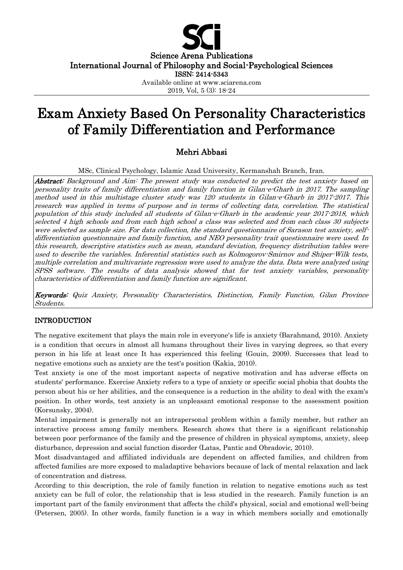

Science Arena Publications International Journal of Philosophy and Social-Psychological Sciences

ISSN: 2414-5343

Available online at www.sciarena.com

2019, Vol, 5 (3): 18-24

# Exam Anxiety Based On Personality Characteristics of Family Differentiation and Performance

# Mehri Abbasi

MSc, Clinical Psychology, Islamic Azad University, Kermanshah Branch, Iran.

Abstract: Background and Aim: The present study was conducted to predict the test anxiety based on personality traits of family differentiation and family function in Gilan-e-Gharb in 2017. The sampling method used in this multistage cluster study was 120 students in Gilan-e-Gharb in 2017-2017. This research was applied in terms of purpose and in terms of collecting data, correlation. The statistical population of this study included all students of Gilan-e-Gharb in the academic year 2017-2018, which selected 4 high schools and from each high school a class was selected and from each class 30 subjects were selected as sample size. For data collection, the standard questionnaire of Sarason test anxiety, selfdifferentiation questionnaire and family function, and NEO personality trait questionnaire were used. In this research, descriptive statistics such as mean, standard deviation, frequency distribution tables were used to describe the variables. Inferential statistics such as Kolmogorov-Smirnov and Shiper-Wilk tests, multiple correlation and multivariate regression were used to analyze the data. Data were analyzed using SPSS software. The results of data analysis showed that for test anxiety variables, personality characteristics of differentiation and family function are significant.

Keywords: Quiz Anxiety, Personality Characteristics, Distinction, Family Function, Gilan Province Students.

### INTRODUCTION

The negative excitement that plays the main role in everyone's life is anxiety (Barahmand, 2010). Anxiety is a condition that occurs in almost all humans throughout their lives in varying degrees, so that every person in his life at least once It has experienced this feeling (Gouin, 2009). Successes that lead to negative emotions such as anxiety are the test's position (Kakia, 2010).

Test anxiety is one of the most important aspects of negative motivation and has adverse effects on students' performance. Exercise Anxiety refers to a type of anxiety or specific social phobia that doubts the person about his or her abilities, and the consequence is a reduction in the ability to deal with the exam's position. In other words, test anxiety is an unpleasant emotional response to the assessment position (Korsunsky, 2004).

Mental impairment is generally not an intrapersonal problem within a family member, but rather an interactive process among family members. Research shows that there is a significant relationship between poor performance of the family and the presence of children in physical symptoms, anxiety, sleep disturbance, depression and social function disorder (Latas, Pantic and Obradovic, 2010).

Most disadvantaged and affiliated individuals are dependent on affected families, and children from affected families are more exposed to maladaptive behaviors because of lack of mental relaxation and lack of concentration and distress.

According to this description, the role of family function in relation to negative emotions such as test anxiety can be full of color, the relationship that is less studied in the research. Family function is an important part of the family environment that affects the child's physical, social and emotional well-being (Petersen, 2005). In other words, family function is a way in which members socially and emotionally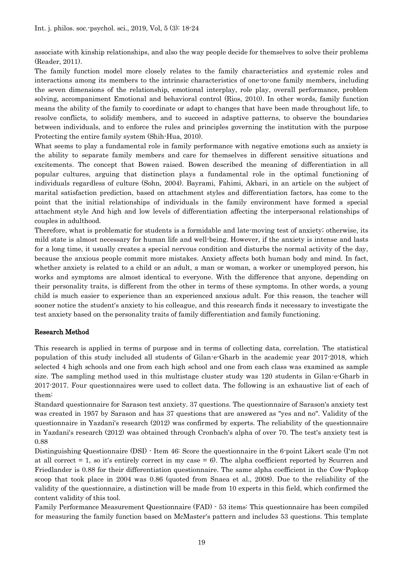associate with kinship relationships, and also the way people decide for themselves to solve their problems (Reader, 2011).

The family function model more closely relates to the family characteristics and systemic roles and interactions among its members to the intrinsic characteristics of one-to-one family members, including the seven dimensions of the relationship, emotional interplay, role play, overall performance, problem solving, accompaniment Emotional and behavioral control (Rios, 2010). In other words, family function means the ability of the family to coordinate or adapt to changes that have been made throughout life, to resolve conflicts, to solidify members, and to succeed in adaptive patterns, to observe the boundaries between individuals, and to enforce the rules and principles governing the institution with the purpose Protecting the entire family system (Shih-Hua, 2010).

What seems to play a fundamental role in family performance with negative emotions such as anxiety is the ability to separate family members and care for themselves in different sensitive situations and excitements. The concept that Bowen raised. Bowen described the meaning of differentiation in all popular cultures, arguing that distinction plays a fundamental role in the optimal functioning of individuals regardless of culture (Sohn, 2004). Bayrami, Fahimi, Akbari, in an article on the subject of marital satisfaction prediction, based on attachment styles and differentiation factors, has come to the point that the initial relationships of individuals in the family environment have formed a special attachment style And high and low levels of differentiation affecting the interpersonal relationships of couples in adulthood.

Therefore, what is problematic for students is a formidable and late-moving test of anxiety; otherwise, its mild state is almost necessary for human life and well-being. However, if the anxiety is intense and lasts for a long time, it usually creates a special nervous condition and disturbs the normal activity of the day, because the anxious people commit more mistakes. Anxiety affects both human body and mind. In fact, whether anxiety is related to a child or an adult, a man or woman, a worker or unemployed person, his works and symptoms are almost identical to everyone. With the difference that anyone, depending on their personality traits, is different from the other in terms of these symptoms. In other words, a young child is much easier to experience than an experienced anxious adult. For this reason, the teacher will sooner notice the student's anxiety to his colleague, and this research finds it necessary to investigate the test anxiety based on the personality traits of family differentiation and family functioning.

#### Research Method

This research is applied in terms of purpose and in terms of collecting data, correlation. The statistical population of this study included all students of Gilan-e-Gharb in the academic year 2017-2018, which selected 4 high schools and one from each high school and one from each class was examined as sample size. The sampling method used in this multistage cluster study was 120 students in Gilan-e-Gharb in 2017-2017. Four questionnaires were used to collect data. The following is an exhaustive list of each of them:

Standard questionnaire for Sarason test anxiety. 37 questions. The questionnaire of Sarason's anxiety test was created in 1957 by Sarason and has 37 questions that are answered as "yes and no". Validity of the questionnaire in Yazdani's research (2012) was confirmed by experts. The reliability of the questionnaire in Yazdani's research (2012) was obtained through Cronbach's alpha of over 70. The test's anxiety test is 0.88

Distinguishing Questionnaire (DSI) - Item 46: Score the questionnaire in the 6-point Likert scale (I'm not at all correct  $= 1$ , so it's entirely correct in my case  $= 6$ ). The alpha coefficient reported by Scurren and Friedlander is 0.88 for their differentiation questionnaire. The same alpha coefficient in the Cow-Popkop scoop that took place in 2004 was 0.86 (quoted from Snaea et al., 2008). Due to the reliability of the validity of the questionnaire, a distinction will be made from 10 experts in this field, which confirmed the content validity of this tool.

Family Performance Measurement Questionnaire (FAD) - 53 items: This questionnaire has been compiled for measuring the family function based on McMaster's pattern and includes 53 questions. This template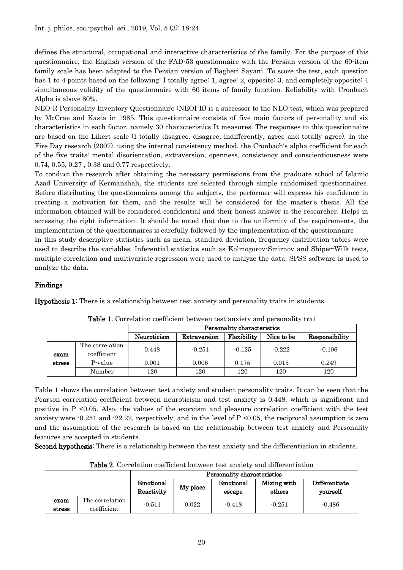defines the structural, occupational and interactive characteristics of the family. For the purpose of this questionnaire, the English version of the FAD-53 questionnaire with the Persian version of the 60-item family scale has been adapted to the Persian version of Bagheri Sayani. To score the test, each question has 1 to 4 points based on the following: I totally agree: 1, agree: 2, opposite: 3, and completely opposite: 4 simultaneous validity of the questionnaire with 60 items of family function. Reliability with Cronbach Alpha is above 80%.

NEO-R Personality Inventory Questionnaire (NEOI-R) is a successor to the NEO test, which was prepared by McCrae and Kasta in 1985. This questionnaire consists of five main factors of personality and six characteristics in each factor, namely 30 characteristics It measures. The responses to this questionnaire are based on the Likert scale (I totally disagree, disagree, indifferently, agree and totally agree). In the Fire Day research (2007), using the internal consistency method, the Cronbach's alpha coefficient for each of the five traits: mental disorientation, extraversion, openness, consistency and conscientiousness were 0.74, 0.55, 0.27 , 0.38 and 0.77 respectively.

To conduct the research after obtaining the necessary permissions from the graduate school of Islamic Azad University of Kermanshah, the students are selected through simple randomized questionnaires. Before distributing the questionnaires among the subjects, the performer will express his confidence in creating a motivation for them, and the results will be considered for the master's thesis. All the information obtained will be considered confidential and their honest answer is the researcher. Helps in accessing the right information. It should be noted that due to the uniformity of the requirements, the implementation of the questionnaires is carefully followed by the implementation of the questionnaire In this study descriptive statistics such as mean, standard deviation, frequency distribution tables were used to describe the variables. Inferential statistics such as Kolmogorov-Smirnov and Shiper-Wilk tests,

multiple correlation and multivariate regression were used to analyze the data. SPSS software is used to analyze the data.

## Findings

Hypothesis 1: There is a relationship between test anxiety and personality traits in students.

|        |                                | Personality characteristics |              |             |            |                |  |  |  |
|--------|--------------------------------|-----------------------------|--------------|-------------|------------|----------------|--|--|--|
|        |                                | Neuroticism                 | Extraversion | Flexibility | Nice to be | Responsibility |  |  |  |
| exam   | The correlation<br>coefficient | 0.448                       | $-0.251$     | $-0.125$    | $-0.222$   | $-0.106$       |  |  |  |
| stress | P-value                        | 0.001                       | 0.006        | 0.175       | 0.015      | 0.249          |  |  |  |
|        | Number                         | 120                         | 120          | 120         | 120        | 120            |  |  |  |

Table 1. Correlation coefficient between test anxiety and personality trai

Table 1 shows the correlation between test anxiety and student personality traits. It can be seen that the Pearson correlation coefficient between neuroticism and test anxiety is 0.448, which is significant and positive in P <0.05. Also, the values of the exorcism and pleasure correlation coefficient with the test anxiety were  $-0.251$  and  $-22.22$ , respectively, and in the level of  $P \le 0.05$ , the reciprocal assumption is zero and the assumption of the research is based on the relationship between test anxiety and Personality features are accepted in students.

Second hypothesis: There is a relationship between the test anxiety and the differentiation in students.

|                |                                | Personality characteristics |          |                     |                       |                           |  |  |
|----------------|--------------------------------|-----------------------------|----------|---------------------|-----------------------|---------------------------|--|--|
|                |                                | Emotional<br>Reactivity     | My place | Emotional<br>escape | Mixing with<br>others | Differentiate<br>vourself |  |  |
| exam<br>stress | The correlation<br>coefficient | $-0.511$                    | 0.022    | $-0.418$            | $-0.251$              | $-0.486$                  |  |  |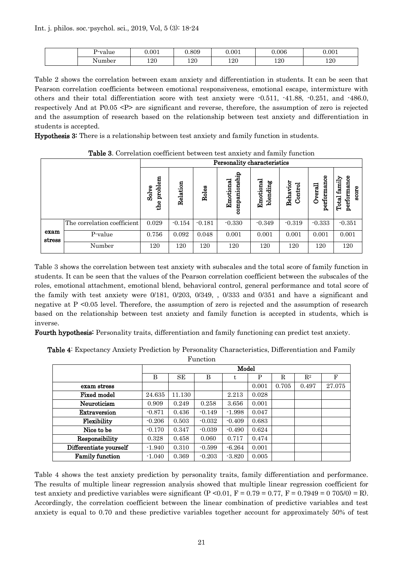| P∙value | 0.001        | .809 | 0.001 | 0.006 | 0.001 |
|---------|--------------|------|-------|-------|-------|
| Number  | 1 ດ ∩<br>⊥∠∪ | 120  | 120   | 120   | 120   |

Table 2 shows the correlation between exam anxiety and differentiation in students. It can be seen that Pearson correlation coefficients between emotional responsiveness, emotional escape, intermixture with others and their total differentiation score with test anxiety were -0.511, -41.88, -0.251, and -486.0, respectively And at P0.05 <P> are significant and reverse, therefore, the assumption of zero is rejected and the assumption of research based on the relationship between test anxiety and differentiation in students is accepted.

Hypothesis 3: There is a relationship between test anxiety and family function in students.

|                |                             | Personality characteristics |          |          |                                 |                       |                     |                            |                                         |
|----------------|-----------------------------|-----------------------------|----------|----------|---------------------------------|-----------------------|---------------------|----------------------------|-----------------------------------------|
|                |                             | problem<br>Solve<br>the     | Relation | Roles    | nionship<br>Emotional<br>compar | Emotional<br>blending | Behavior<br>Control | performance<br>verall<br>Ć | performance<br>family<br>score<br>Total |
|                | The correlation coefficient | 0.029                       | $-0.154$ | $-0.181$ | $-0.330$                        | $-0.349$              | $-0.319$            | $-0.333$                   | $-0.351$                                |
| exam<br>stress | P-value                     | 0.756                       | 0.092    | 0.048    | 0.001                           | 0.001                 | 0.001               | 0.001                      | 0.001                                   |
|                | Number                      | 120                         | 120      | 120      | 120                             | 120                   | 120                 | 120                        | 120                                     |

Table 3. Correlation coefficient between test anxiety and family function

Table 3 shows the correlation between test anxiety with subscales and the total score of family function in students. It can be seen that the values of the Pearson correlation coefficient between the subscales of the roles, emotional attachment, emotional blend, behavioral control, general performance and total score of the family with test anxiety were 0/181, 0/203, 0/349, , 0/333 and 0/351 and have a significant and negative at P <0.05 level. Therefore, the assumption of zero is rejected and the assumption of research based on the relationship between test anxiety and family function is accepted in students, which is inverse.

Fourth hypothesis: Personality traits, differentiation and family functioning can predict test anxiety.

Table 4: Expectancy Anxiety Prediction by Personality Characteristics, Differentiation and Family

Function

|                        | Model    |        |          |          |       |       |                |        |
|------------------------|----------|--------|----------|----------|-------|-------|----------------|--------|
|                        | B        | SE     | B        | t        | P     | R     | $\mathbf{R}^2$ | F      |
| exam stress            |          |        |          |          | 0.001 | 0.705 | 0.497          | 27.075 |
| <b>Fixed model</b>     | 24.635   | 11.130 |          | 2.213    | 0.028 |       |                |        |
| Neuroticism            | 0.909    | 0.249  | 0.258    | 3.656    | 0.001 |       |                |        |
| Extraversion           | $-0.871$ | 0.436  | $-0.149$ | $-1.998$ | 0.047 |       |                |        |
| Flexibility            | $-0.206$ | 0.503  | $-0.032$ | $-0.409$ | 0.683 |       |                |        |
| Nice to be             | $-0.170$ | 0.347  | $-0.039$ | $-0.490$ | 0.624 |       |                |        |
| Responsibility         | 0.328    | 0.458  | 0.060    | 0.717    | 0.474 |       |                |        |
| Differentiate yourself | $-1.940$ | 0.310  | $-0.599$ | $-6.264$ | 0.001 |       |                |        |
| <b>Family function</b> | $-1.040$ | 0.369  | $-0.203$ | $-3.820$ | 0.005 |       |                |        |

Table 4 shows the test anxiety prediction by personality traits, family differentiation and performance. The results of multiple linear regression analysis showed that multiple linear regression coefficient for test anxiety and predictive variables were significant  $(P \le 0.01, F = 0.79 = 0.77, F = 0.7949 = 0.705(0) = R$ ). Accordingly, the correlation coefficient between the linear combination of predictive variables and test anxiety is equal to 0.70 and these predictive variables together account for approximately 50% of test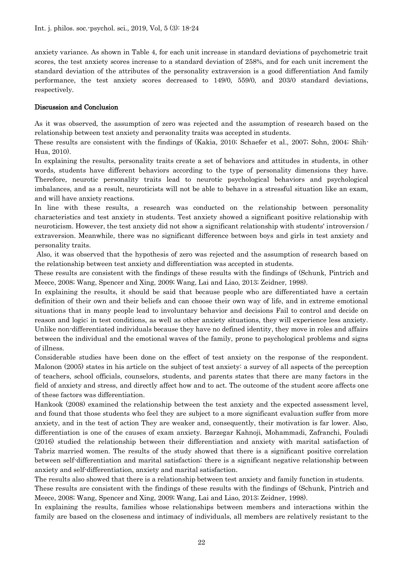anxiety variance. As shown in Table 4, for each unit increase in standard deviations of psychometric trait scores, the test anxiety scores increase to a standard deviation of 258%, and for each unit increment the standard deviation of the attributes of the personality extraversion is a good differentiation And family performance, the test anxiety scores decreased to 149/0, 559/0, and 203/0 standard deviations, respectively.

#### Discussion and Conclusion

As it was observed, the assumption of zero was rejected and the assumption of research based on the relationship between test anxiety and personality traits was accepted in students.

These results are consistent with the findings of (Kakia, 2010; Schaefer et al., 2007; Sohn, 2004; Shih-Hua, 2010).

In explaining the results, personality traits create a set of behaviors and attitudes in students, in other words, students have different behaviors according to the type of personality dimensions they have. Therefore, neurotic personality traits lead to neurotic psychological behaviors and psychological imbalances, and as a result, neuroticists will not be able to behave in a stressful situation like an exam, and will have anxiety reactions.

In line with these results, a research was conducted on the relationship between personality characteristics and test anxiety in students. Test anxiety showed a significant positive relationship with neuroticism. However, the test anxiety did not show a significant relationship with students' introversion / extraversion. Meanwhile, there was no significant difference between boys and girls in test anxiety and personality traits.

Also, it was observed that the hypothesis of zero was rejected and the assumption of research based on the relationship between test anxiety and differentiation was accepted in students.

These results are consistent with the findings of these results with the findings of (Schunk, Pintrich and Meece, 2008; Wang, Spencer and Xing, 2009; Wang, Lai and Liao, 2013; Zeidner, 1998).

In explaining the results, it should be said that because people who are differentiated have a certain definition of their own and their beliefs and can choose their own way of life, and in extreme emotional situations that in many people lead to involuntary behavior and decisions Fail to control and decide on reason and logic; in test conditions, as well as other anxiety situations, they will experience less anxiety. Unlike non-differentiated individuals because they have no defined identity, they move in roles and affairs between the individual and the emotional waves of the family, prone to psychological problems and signs of illness.

Considerable studies have been done on the effect of test anxiety on the response of the respondent. Malonon (2005) states in his article on the subject of test anxiety: a survey of all aspects of the perception of teachers, school officials, counselors, students, and parents states that there are many factors in the field of anxiety and stress, and directly affect how and to act. The outcome of the student score affects one of these factors was differentiation.

Hankook (2008) examined the relationship between the test anxiety and the expected assessment level, and found that those students who feel they are subject to a more significant evaluation suffer from more anxiety, and in the test of action They are weaker and, consequently, their motivation is far lower. Also, differentiation is one of the causes of exam anxiety. Barzegar Kahnoji, Mohammadi, Zafranchi, Fouladi (2016) studied the relationship between their differentiation and anxiety with marital satisfaction of Tabriz married women. The results of the study showed that there is a significant positive correlation between self-differentiation and marital satisfaction; there is a significant negative relationship between anxiety and self-differentiation, anxiety and marital satisfaction.

The results also showed that there is a relationship between test anxiety and family function in students.

These results are consistent with the findings of these results with the findings of (Schunk, Pintrich and Meece, 2008; Wang, Spencer and Xing, 2009; Wang, Lai and Liao, 2013; Zeidner, 1998).

In explaining the results, families whose relationships between members and interactions within the family are based on the closeness and intimacy of individuals, all members are relatively resistant to the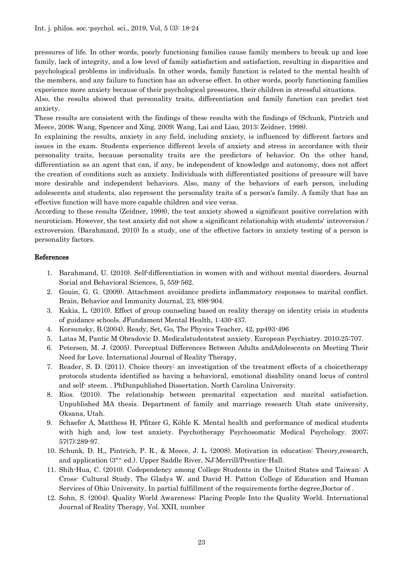pressures of life. In other words, poorly functioning families cause family members to break up and lose family, lack of integrity, and a low level of family satisfaction and satisfaction, resulting in disparities and psychological problems in individuals. In other words, family function is related to the mental health of the members, and any failure to function has an adverse effect. In other words, poorly functioning families experience more anxiety because of their psychological pressures, their children in stressful situations.

Also, the results showed that personality traits, differentiation and family function can predict test anxiety.

These results are consistent with the findings of these results with the findings of (Schunk, Pintrich and Meece, 2008; Wang, Spencer and Xing, 2009; Wang, Lai and Liao, 2013; Zeidner, 1998).

In explaining the results, anxiety in any field, including anxiety, is influenced by different factors and issues in the exam. Students experience different levels of anxiety and stress in accordance with their personality traits, because personality traits are the predictors of behavior. On the other hand, differentiation as an agent that can, if any, be independent of knowledge and autonomy, does not affect the creation of conditions such as anxiety. Individuals with differentiated positions of pressure will have more desirable and independent behaviors. Also, many of the behaviors of each person, including adolescents and students, also represent the personality traits of a person's family. A family that has an effective function will have more capable children and vice versa.

According to these results (Zeidner, 1998), the test anxiety showed a significant positive correlation with neuroticism. However, the test anxiety did not show a significant relationship with students' introversion / extroversion. (Barahmand, 2010) In a study, one of the effective factors in anxiety testing of a person is personality factors.

#### References

- 1. Barahmand, U. (2010). Self-differentiation in women with and without mental disorders. Journal Social and Behavioral Sciences, 5, 559-562.
- 2. Gouin, G. G. (2009). Attachment avoidance predicts inflammatory responses to marital conflict. Brain, Behavior and Immunity Journal, 23, 898-904.
- 3. Kakia, L. (2010). Effect of group counseling based on reality therapy on identity crisis in students of guidance schools. JFundament Mental Health, 1:430-437.
- 4. Korsunsky, B.(2004). Ready, Set, Go, The Physics Teacher, 42, pp493-496
- 5. Latas M, Pantic M Obradovic D. Medicalstudentstest anxiety. European Psychiatry. 2010;25:707.
- 6. Petersen, M. J. (2005). Perceptual Differences Between Adults andAdolescents on Meeting Their Need for Love. International Journal of Reality Therapy,
- 7. Reader, S. D. (2011). Choice theory: an investigation of the treatment effects of a choicetherapy protocols students identified as having a behavioral, emotional disability onand locus of control and self- steem. . PhDunpublished Dissertation. North Carolina University.
- 8. Rios. (2010). The relationship between premarital expectation and marital satisfaction. Unpublished MA thesis. Department of family and marriage research Utah state university, Oksana, Utah.
- 9. Schaefer A, Matthess H, Pfitzer G, Köhle K. Mental health and performance of medical students with high and, low test anxiety. Psychotherapy Psychosomatic Medical Psychology. 2007; 57(7):289-97.
- 10. Schunk, D. H,, Pintrich, P. R., & Meece, J. L. (2008). Motivation in education: Theory,research, and application (3"^ ed.). Upper Saddle River, NJ:Merrill/Prentice-Hall.
- 11. Shih-Hua, C. (2010). Codependency among College Students in the United States and Taiwan: A Cross- Cultural Study, The Gladys W. and David H. Patton College of Education and Human Services of Ohio University, In partial fulfillment of the requirements forthe degree,Doctor of .
- 12. Sohn, S. (2004). Quality World Awareness: Placing People Into the Quality World. International Journal of Reality Therapy, Vol. XXII, number